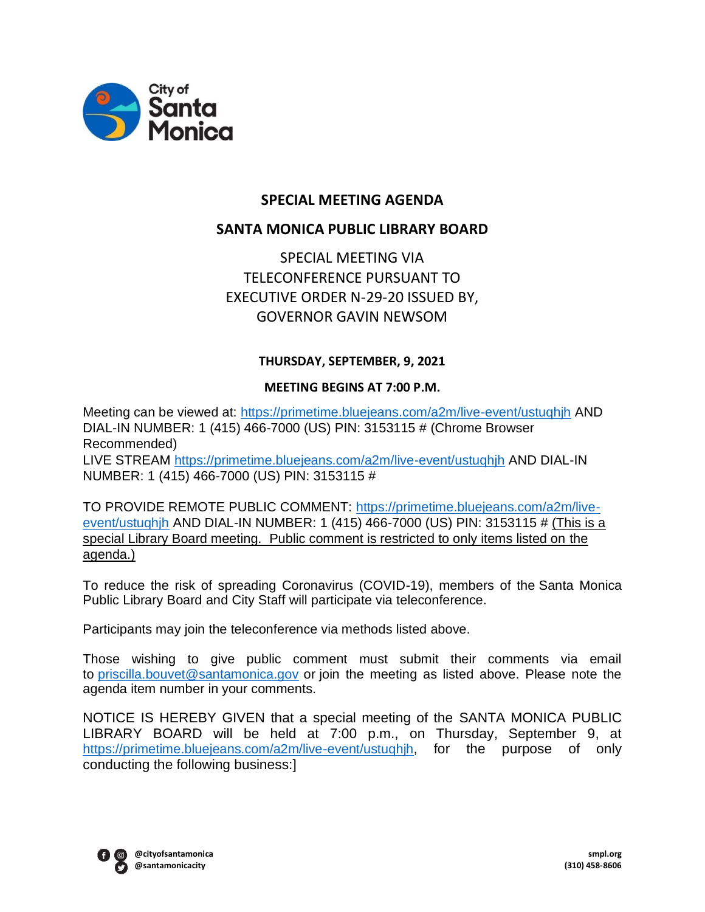

# **SPECIAL MEETING AGENDA**

# **SANTA MONICA PUBLIC LIBRARY BOARD**

SPECIAL MEETING VIA TELECONFERENCE PURSUANT TO EXECUTIVE ORDER N-29-20 ISSUED BY, GOVERNOR GAVIN NEWSOM

### **THURSDAY, SEPTEMBER, 9, 2021**

### **MEETING BEGINS AT 7:00 P.M.**

Meeting can be viewed at: <https://primetime.bluejeans.com/a2m/live-event/ustuqhjh> AND DIAL-IN NUMBER: 1 (415) 466-7000 (US) PIN: 3153115 # (Chrome Browser Recommended) LIVE STREAM <https://primetime.bluejeans.com/a2m/live-event/ustuqhjh> AND DIAL-IN NUMBER: 1 (415) 466-7000 (US) PIN: 3153115 #

TO PROVIDE REMOTE PUBLIC COMMENT: [https://primetime.bluejeans.com/a2m/live](https://primetime.bluejeans.com/a2m/live-event/ustuqhjh)[event/ustuqhjh](https://primetime.bluejeans.com/a2m/live-event/ustuqhjh) AND DIAL-IN NUMBER: 1 (415) 466-7000 (US) PIN: 3153115 # (This is a special Library Board meeting. Public comment is restricted to only items listed on the agenda.)

To reduce the risk of spreading Coronavirus (COVID-19), members of the Santa Monica Public Library Board and City Staff will participate via teleconference.

Participants may join the teleconference via methods listed above.

Those wishing to give public comment must submit their comments via email to [priscilla.bouvet@santamonica.gov](mailto:priscilla.bouvet@santamonica.gov) or join the meeting as listed above. Please note the agenda item number in your comments.

NOTICE IS HEREBY GIVEN that a special meeting of the SANTA MONICA PUBLIC LIBRARY BOARD will be held at 7:00 p.m., on Thursday, September 9, at [https://primetime.bluejeans.com/a2m/live-event/ustuqhjh,](https://primetime.bluejeans.com/a2m/live-event/ustuqhjh) for the purpose of only conducting the following business:]

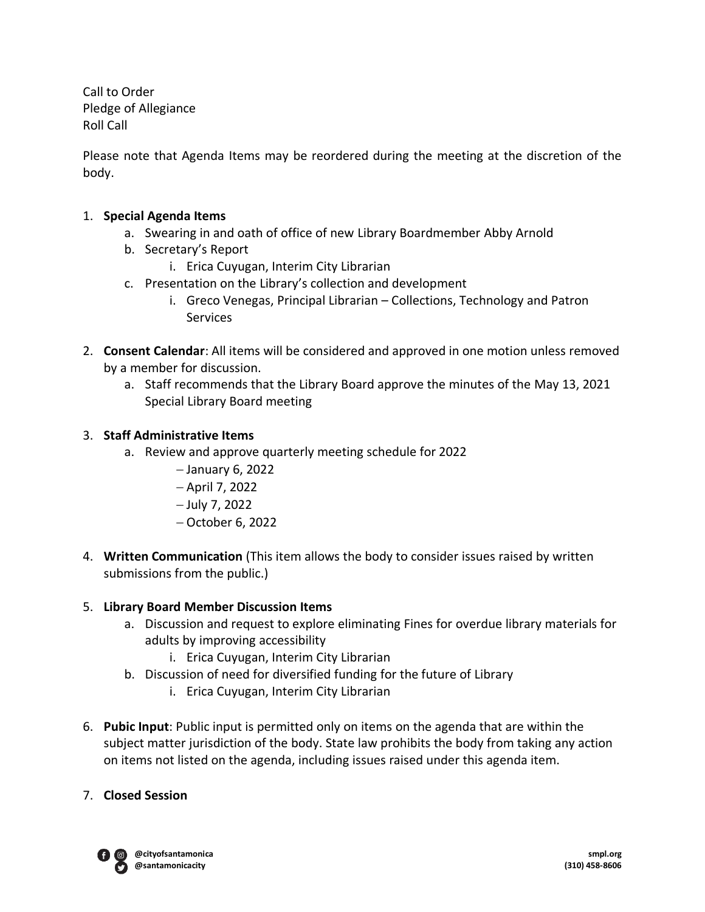Call to Order Pledge of Allegiance Roll Call

Please note that Agenda Items may be reordered during the meeting at the discretion of the body.

## 1. **Special Agenda Items**

- a. Swearing in and oath of office of new Library Boardmember Abby Arnold
- b. Secretary's Report
	- i. Erica Cuyugan, Interim City Librarian
- c. Presentation on the Library's collection and development
	- i. Greco Venegas, Principal Librarian Collections, Technology and Patron Services
- 2. **Consent Calendar**: All items will be considered and approved in one motion unless removed by a member for discussion.
	- a. Staff recommends that the Library Board approve the minutes of the May 13, 2021 Special Library Board meeting

### 3. **Staff Administrative Items**

- a. Review and approve quarterly meeting schedule for 2022
	- − January 6, 2022
	- − April 7, 2022
	- − July 7, 2022
	- − October 6, 2022
- 4. **Written Communication** (This item allows the body to consider issues raised by written submissions from the public.)

### 5. **Library Board Member Discussion Items**

- a. Discussion and request to explore eliminating Fines for overdue library materials for adults by improving accessibility
	- i. Erica Cuyugan, Interim City Librarian
- b. Discussion of need for diversified funding for the future of Library
	- i. Erica Cuyugan, Interim City Librarian
- 6. **Pubic Input**: Public input is permitted only on items on the agenda that are within the subject matter jurisdiction of the body. State law prohibits the body from taking any action on items not listed on the agenda, including issues raised under this agenda item.

### 7. **Closed Session**

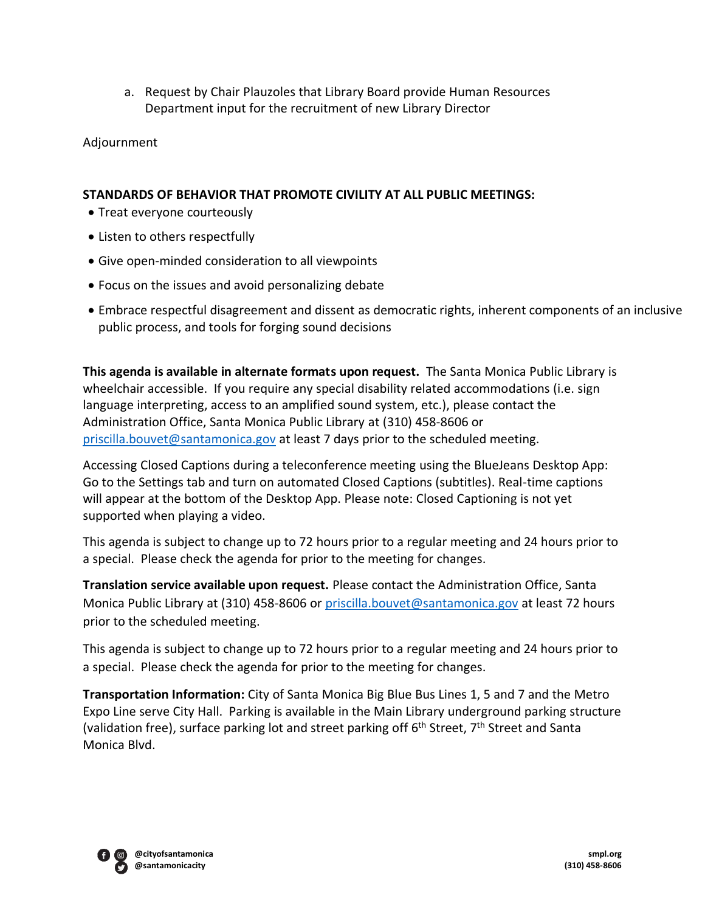a. Request by Chair Plauzoles that Library Board provide Human Resources Department input for the recruitment of new Library Director

Adjournment

## **STANDARDS OF BEHAVIOR THAT PROMOTE CIVILITY AT ALL PUBLIC MEETINGS:**

- Treat everyone courteously
- Listen to others respectfully
- Give open-minded consideration to all viewpoints
- Focus on the issues and avoid personalizing debate
- Embrace respectful disagreement and dissent as democratic rights, inherent components of an inclusive public process, and tools for forging sound decisions

**This agenda is available in alternate formats upon request.** The Santa Monica Public Library is wheelchair accessible. If you require any special disability related accommodations (i.e. sign language interpreting, access to an amplified sound system, etc.), please contact the Administration Office, Santa Monica Public Library at (310) 458-8606 or [priscilla.bouvet@santamonica.gov](mailto:priscilla.bouvet@santamonica.gov) at least 7 days prior to the scheduled meeting.

Accessing Closed Captions during a teleconference meeting using the BlueJeans Desktop App: Go to the Settings tab and turn on automated Closed Captions (subtitles). Real-time captions will appear at the bottom of the Desktop App. Please note: Closed Captioning is not yet supported when playing a video.

This agenda is subject to change up to 72 hours prior to a regular meeting and 24 hours prior to a special. Please check the agenda for prior to the meeting for changes.

**Translation service available upon request.** Please contact the Administration Office, Santa Monica Public Library at (310) 458-8606 or [priscilla.bouvet@santamonica.gov](mailto:priscilla.bouvet@santamonica.gov) at least 72 hours prior to the scheduled meeting.

This agenda is subject to change up to 72 hours prior to a regular meeting and 24 hours prior to a special. Please check the agenda for prior to the meeting for changes.

**Transportation Information:** City of Santa Monica Big Blue Bus Lines 1, 5 and 7 and the Metro Expo Line serve City Hall. Parking is available in the Main Library underground parking structure (validation free), surface parking lot and street parking off 6<sup>th</sup> Street, 7<sup>th</sup> Street and Santa Monica Blvd.